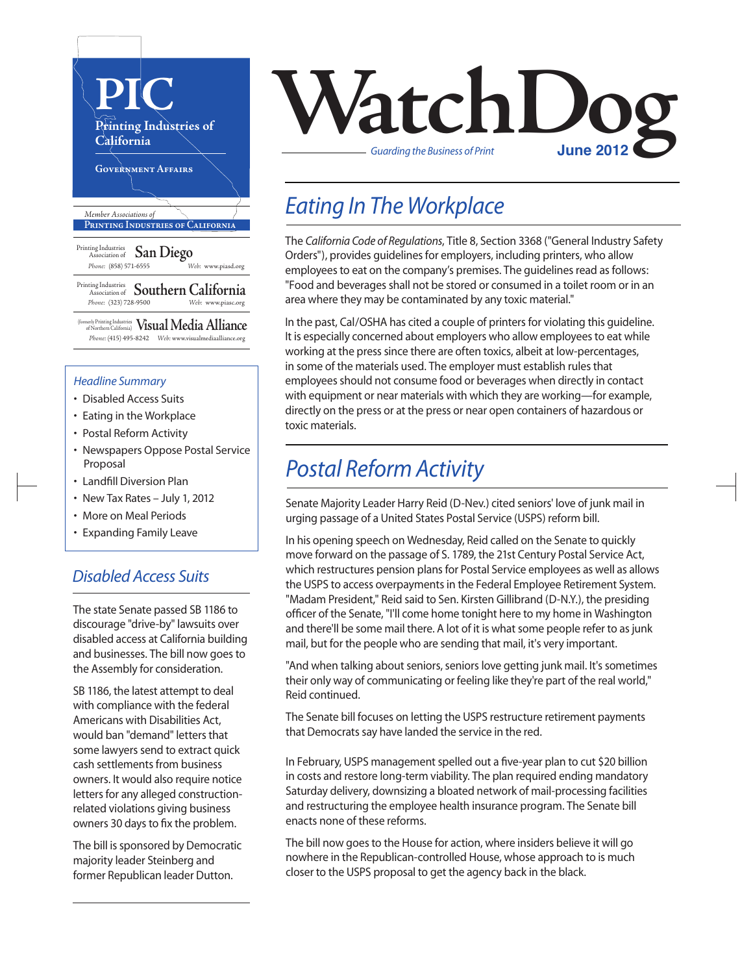

#### *Headline Summary*

- Disabled Access Suits
- Eating in the Workplace
- Postal Reform Activity
- Newspapers Oppose Postal Service Proposal
- Landfill Diversion Plan
- New Tax Rates July 1, 2012
- More on Meal Periods
- Expanding Family Leave

#### *Disabled Access Suits*

The state Senate passed SB 1186 to discourage "drive-by" lawsuits over disabled access at California building and businesses. The bill now goes to the Assembly for consideration.

SB 1186, the latest attempt to deal with compliance with the federal Americans with Disabilities Act, would ban "demand" letters that some lawyers send to extract quick cash settlements from business owners. It would also require notice letters for any alleged constructionrelated violations giving business owners 30 days to fix the problem.

The bill is sponsored by Democratic majority leader Steinberg and former Republican leader Dutton.



## *Eating In The Workplace*

The *California Code of Regulations*, Title 8, Section 3368 ("General Industry Safety Orders"), provides guidelines for employers, including printers, who allow employees to eat on the company's premises. The guidelines read as follows: "Food and beverages shall not be stored or consumed in a toilet room or in an area where they may be contaminated by any toxic material."

In the past, Cal/OSHA has cited a couple of printers for violating this quideline. It is especially concerned about employers who allow employees to eat while working at the press since there are often toxics, albeit at low-percentages, in some of the materials used. The employer must establish rules that employees should not consume food or beverages when directly in contact with equipment or near materials with which they are working—for example, directly on the press or at the press or near open containers of hazardous or toxic materials.

## *Postal Reform Activity*

Senate Majority Leader Harry Reid (D-Nev.) cited seniors' love of junk mail in urging passage of a United States Postal Service (USPS) reform bill.

In his opening speech on Wednesday, Reid called on the Senate to quickly move forward on the passage of S. 1789, the 21st Century Postal Service Act, which restructures pension plans for Postal Service employees as well as allows the USPS to access overpayments in the Federal Employee Retirement System. "Madam President," Reid said to Sen. Kirsten Gillibrand (D-N.Y.), the presiding officer of the Senate, "I'll come home tonight here to my home in Washington and there'll be some mail there. A lot of it is what some people refer to as junk mail, but for the people who are sending that mail, it's very important.

"And when talking about seniors, seniors love getting junk mail. It's sometimes their only way of communicating or feeling like they're part of the real world," Reid continued.

The Senate bill focuses on letting the USPS restructure retirement payments that Democrats say have landed the service in the red.

In February, USPS management spelled out a five-year plan to cut \$20 billion in costs and restore long-term viability. The plan required ending mandatory Saturday delivery, downsizing a bloated network of mail-processing facilities and restructuring the employee health insurance program. The Senate bill enacts none of these reforms.

The bill now goes to the House for action, where insiders believe it will go nowhere in the Republican-controlled House, whose approach to is much closer to the USPS proposal to get the agency back in the black.